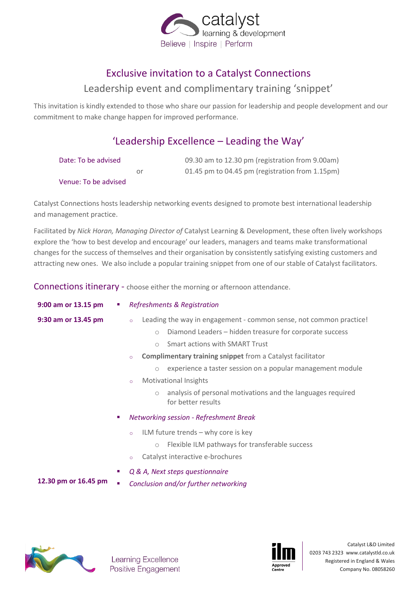

## Exclusive invitation to a Catalyst Connections

#### Leadership event and complimentary training 'snippet'

This invitation is kindly extended to those who share our passion for leadership and people development and our commitment to make change happen for improved performance.

# 'Leadership Excellence – Leading the Way'

| Date: To be advised  |    | 09.30 am to 12.30 pm (registration from 9.00am) |
|----------------------|----|-------------------------------------------------|
|                      | Ωr | 01.45 pm to 04.45 pm (registration from 1.15pm) |
| Venue: To be advised |    |                                                 |

Catalyst Connections hosts leadership networking events designed to promote best international leadership and management practice.

Facilitated by *Nick Horan, Managing Director of* Catalyst Learning & Development, these often lively workshops explore the 'how to best develop and encourage' our leaders, managers and teams make transformational changes for the success of themselves and their organisation by consistently satisfying existing customers and attracting new ones. We also include a popular training snippet from one of our stable of Catalyst facilitators.

Connections itinerary - choose either the morning or afternoon attendance.

| 9:00 am or 13.15 pm  | $\mathcal{L}_{\mathcal{A}}$ | <b>Refreshments &amp; Registration</b>                                                                                                                                                                                                                                                                                                                                                                                                                                                                            |  |
|----------------------|-----------------------------|-------------------------------------------------------------------------------------------------------------------------------------------------------------------------------------------------------------------------------------------------------------------------------------------------------------------------------------------------------------------------------------------------------------------------------------------------------------------------------------------------------------------|--|
| 9:30 am or 13.45 pm  |                             | Leading the way in engagement - common sense, not common practice!<br>$\circ$<br>Diamond Leaders - hidden treasure for corporate success<br>$\circ$<br><b>Smart actions with SMART Trust</b><br>$\bigcirc$<br><b>Complimentary training snippet</b> from a Catalyst facilitator<br>$\circ$<br>experience a taster session on a popular management module<br>$\bigcirc$<br><b>Motivational Insights</b><br>$\circ$<br>analysis of personal motivations and the languages required<br>$\circ$<br>for better results |  |
| 12.30 pm or 16.45 pm | ×.<br>ш<br>a.               | Networking session - Refreshment Break<br>ILM future trends $-$ why core is key<br>$\circ$<br>Flexible ILM pathways for transferable success<br>$\circ$<br>Catalyst interactive e-brochures<br>$\circ$<br>Q & A, Next steps questionnaire<br>Conclusion and/or further networking                                                                                                                                                                                                                                 |  |